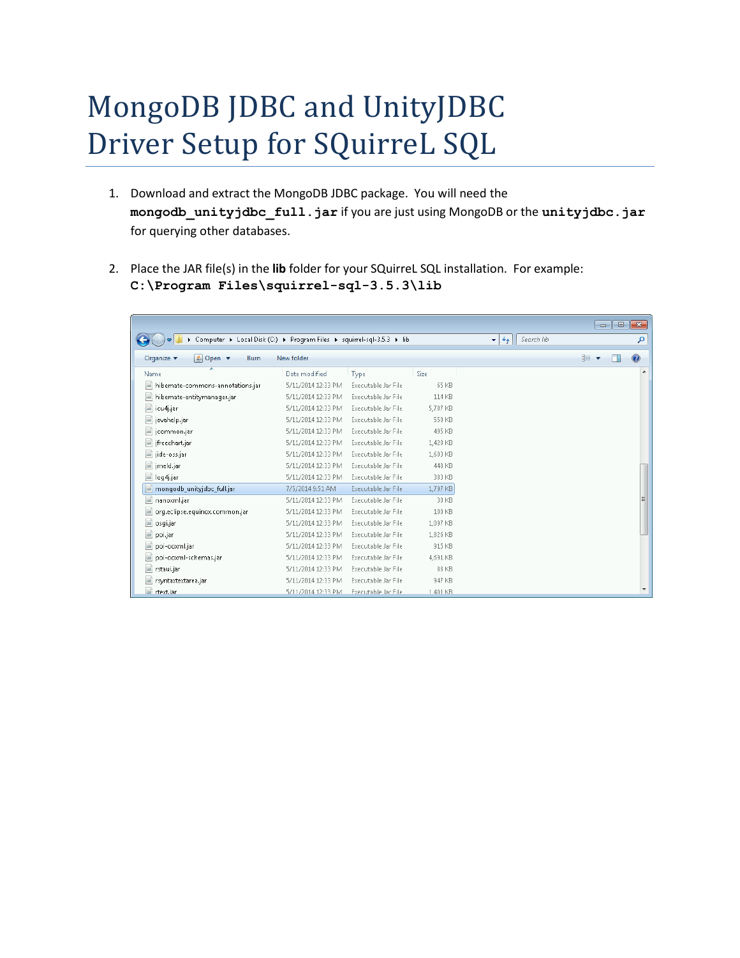## MongoDB JDBC and UnityJDBC Driver Setup for SQuirreL SQL

- 1. Download and extract the MongoDB JDBC package. You will need the **mongodb\_unityjdbc\_full.jar** if you are just using MongoDB or the **unityjdbc.jar** for querying other databases.
- 2. Place the JAR file(s) in the **lib** folder for your SQuirreL SQL installation. For example: **C:\Program Files\squirrel-sql-3.5.3\lib**

|                                                                       |                    |                     |             |                                |       | $\overline{\phantom{a}}$ $\overline{\phantom{a}}$<br>$\ x\ $ |
|-----------------------------------------------------------------------|--------------------|---------------------|-------------|--------------------------------|-------|--------------------------------------------------------------|
| Computer ▶ Local Disk (C:) ▶ Program Files ▶ squirrel-sql-3.5.3 ▶ lib |                    |                     |             | Search lib<br>$\ddot{+}$<br>▾∣ |       | م                                                            |
| Organize $\blacktriangledown$<br>Le Open ▼<br>Burn                    | New folder         |                     |             |                                | 888 ▼ | $\mathbf Q$                                                  |
| Name                                                                  | Date modified      | Type                | <b>Size</b> |                                |       |                                                              |
| 国<br>hibernate-commons-annotations.jar                                | 5/11/2014 12:33 PM | Executable Jar File | 65 KB       |                                |       |                                                              |
| 圖<br>hibernate-entitymanager.jar                                      | 5/11/2014 12:33 PM | Executable Jar File | 114 KB      |                                |       |                                                              |
| icu4j.jar                                                             | 5/11/2014 12:33 PM | Executable Jar File | 5,787 KB    |                                |       |                                                              |
| javahelp.jar                                                          | 5/11/2014 12:33 PM | Executable Jar File | 550 KB      |                                |       |                                                              |
| is jcommon.jar                                                        | 5/11/2014 12:33 PM | Executable Jar File | 495 KB      |                                |       |                                                              |
| ifreechart.jar                                                        | 5/11/2014 12:33 PM | Executable Jar File | 1.428 KB    |                                |       |                                                              |
| iii jide-oss.jar                                                      | 5/11/2014 12:33 PM | Executable Jar File | 1,603 KB    |                                |       |                                                              |
| iii) jmeld.jar                                                        | 5/11/2014 12:33 PM | Executable Jar File | 448 KB      |                                |       |                                                              |
| la log4j.jar                                                          | 5/11/2014 12:33 PM | Executable Jar File | 383 KB      |                                |       |                                                              |
| mongodb_unityjdbc_full.jar<br>$\left  \mathbf{a} \right $             | 7/5/2014 9:51 AM   | Executable Jar File | 1.797 KB    |                                |       |                                                              |
| 国<br>nanoxml.jar                                                      | 5/11/2014 12:33 PM | Executable Jar File | 30 KB       |                                |       | 듸                                                            |
| org.eclipse.equinox.common.jar                                        | 5/11/2014 12:33 PM | Executable Jar File | 100 KB      |                                |       |                                                              |
| 圖<br>osgi.jar                                                         | 5/11/2014 12:33 PM | Executable Jar File | 1,097 KB    |                                |       |                                                              |
| 国<br>poi.jar                                                          | 5/11/2014 12:33 PM | Executable Jar File | 1,826 KB    |                                |       |                                                              |
| 国<br>poi-ooxml.jar                                                    | 5/11/2014 12:33 PM | Executable Jar File | 915 KB      |                                |       |                                                              |
| $\mathbf{a}$<br>poi-ooxml-schemas.jar                                 | 5/11/2014 12:33 PM | Executable Jar File | 4.691 KB    |                                |       |                                                              |
| 圖<br>rstaui.jar                                                       | 5/11/2014 12:33 PM | Executable Jar File | 88 KB       |                                |       |                                                              |
| iii rsyntaxtextarea.jar                                               | 5/11/2014 12:33 PM | Executable Jar File | 947 KB      |                                |       |                                                              |
| di rtext.iar                                                          | 5/11/2014 12:33 PM | Executable Jar File | 1 401 KB    |                                |       |                                                              |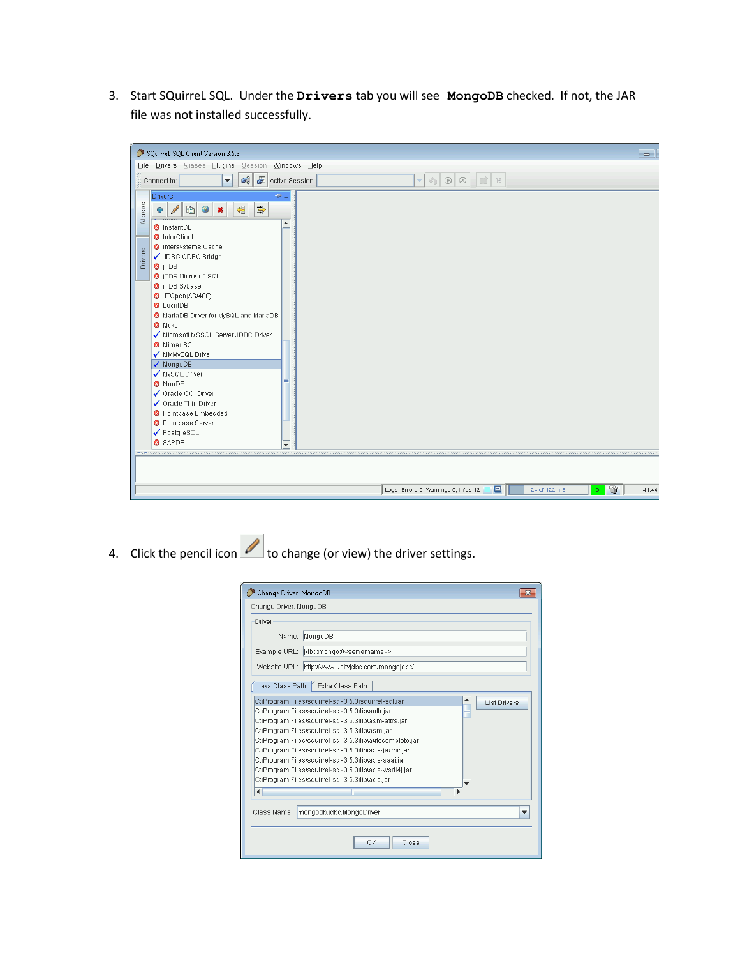3. Start SQuirreL SQL. Under the **Drivers** tab you will see **MongoDB** checked. If not, the JAR file was not installed successfully.

| SQuirreL SQL Client Version 3.5.3                                                                                                                                                                                                                                                                                                                                                                                                                                                                                                                                                                                                                                                                        | ╺                                                                                       |
|----------------------------------------------------------------------------------------------------------------------------------------------------------------------------------------------------------------------------------------------------------------------------------------------------------------------------------------------------------------------------------------------------------------------------------------------------------------------------------------------------------------------------------------------------------------------------------------------------------------------------------------------------------------------------------------------------------|-----------------------------------------------------------------------------------------|
| File Drivers Aliases Plugins Session Windows Help                                                                                                                                                                                                                                                                                                                                                                                                                                                                                                                                                                                                                                                        |                                                                                         |
| $\overline{\omega}^0_0$<br>Active Session:<br>Connect to:<br>$\overline{\phantom{a}}$                                                                                                                                                                                                                                                                                                                                                                                                                                                                                                                                                                                                                    | $\bullet \bullet \bullet \bullet \bullet \bullet \bullet \bullet \bullet \bullet$       |
| <b>Drivers</b><br>$-2\pi$<br>Aliases<br>$\blacksquare$<br>争<br>锠<br>÷<br>×<br>▲<br><b>O</b> InstantDB<br><b>3</b> InterClient<br><b>O</b> Intersystems Cache<br>Drivers<br>✔ JDBC ODBC Bridge<br><b>O</b> iTDS<br><b>O</b> iTDS Microsoft SQL<br><b>3</b> jTDS Sybase<br>O JTOpen(AS/400)<br><b>O</b> LucidDB<br>MariaDB Driver for MySQL and MariaDB<br><b>3</b> Mckoi<br>Microsoft MSSQL Server JDBC Driver<br>Mimer SQL<br>MMMySQL Driver<br>√ MongoDB<br>✔ MySQL Driver<br><b>3</b> NuoDB<br>✔ Oracle OCI Driver<br>✔ Oracle Thin Driver<br><sup>O</sup> Pointbase Embedded<br><b>O</b> Pointbase Server<br>✔ PostgreSQL<br><b>3</b> SAPDB<br>$\overline{\phantom{a}}$<br><b><i>Automobility</i></b> | Û<br>鳳<br>Logs: Errors 0, Warnings 0, Infos 12<br>24 of 122 MB<br>$\bullet$<br>11:41:44 |
|                                                                                                                                                                                                                                                                                                                                                                                                                                                                                                                                                                                                                                                                                                          |                                                                                         |

4. Click the pencil icon **the set of change (or view)** the driver settings.

| Change Driver: MongoDB<br>Change Driver: MongoDB |                                                                                                                                                                                                                                                                                                                                                                                                                                                                                                                      |                                    |
|--------------------------------------------------|----------------------------------------------------------------------------------------------------------------------------------------------------------------------------------------------------------------------------------------------------------------------------------------------------------------------------------------------------------------------------------------------------------------------------------------------------------------------------------------------------------------------|------------------------------------|
| Driver                                           |                                                                                                                                                                                                                                                                                                                                                                                                                                                                                                                      |                                    |
| Name:                                            | MongoDB                                                                                                                                                                                                                                                                                                                                                                                                                                                                                                              |                                    |
|                                                  | Example URL:  idbc:mongo:// <servername>&gt;</servername>                                                                                                                                                                                                                                                                                                                                                                                                                                                            |                                    |
|                                                  | Website URL: http://www.unityjdbc.com/mongojdbc/                                                                                                                                                                                                                                                                                                                                                                                                                                                                     |                                    |
| Java Class Path                                  | Extra Class Path                                                                                                                                                                                                                                                                                                                                                                                                                                                                                                     |                                    |
|                                                  | C:\Program Files\squirrel-sql-3.5.3\squirrel-sql.jar<br>C:\Program Files\squirrel-sql-3.5.3\lib\antlr.jar<br>C:\Program Files\squirrel-sql-3.5.3\lib\asm-attrs.jar<br>C:\Program Files\squirrel-sql-3.5.3\lib\asm.jar<br>C:\Program Files\squirrel-sgl-3.5.3\lib\autocomplete.jar<br>C:\Program Files\squirrel-sql-3.5.3\lib\axis-jaxrpc.jar<br>C:\Program Files\squirrel-sql-3.5.3\lib\axis-saaj.jar<br>C:\Program Files\squirrel-sql-3.5.3\lib\axis-wsdl4j.jar<br>C:\Program Files\squirrel-sql-3.5.3\lib\axis.jar | ▲<br><b>List Drivers</b><br>≡<br>Þ |
|                                                  | Class Name: mongodb.idbc.MongoDriver                                                                                                                                                                                                                                                                                                                                                                                                                                                                                 |                                    |
|                                                  | OK<br>Close                                                                                                                                                                                                                                                                                                                                                                                                                                                                                                          |                                    |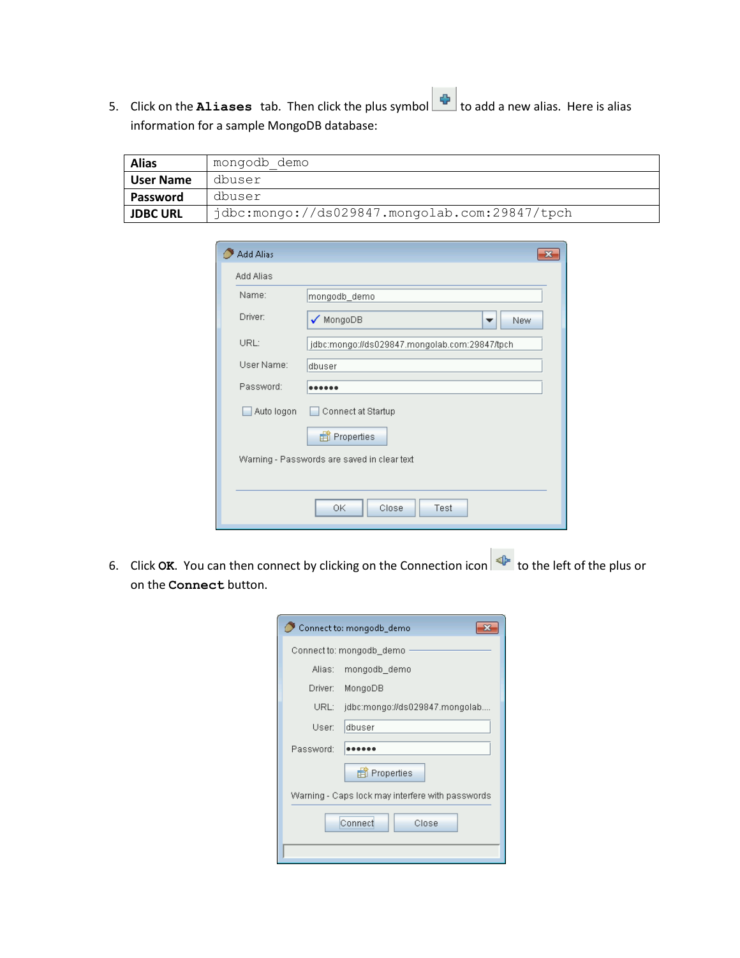5. Click on the **Aliases** tab. Then click the plus symbol to add a new alias. Here is alias information for a sample MongoDB database:

| <b>Alias</b>     | mongodb demo                                  |
|------------------|-----------------------------------------------|
| <b>User Name</b> | dbuser                                        |
| Password         | dbuser                                        |
| <b>JDBC URL</b>  | jdbc:mongo://ds029847.mongolab.com:29847/tpch |

| <b>Add Alias</b> |                                               | × |
|------------------|-----------------------------------------------|---|
| Add Alias        |                                               |   |
| Name:            | mongodb_demo                                  |   |
| Driver:          | $\sqrt{\text{MongoDB}}$<br>New<br>▼           |   |
| URL:             | jdbc:mongo://ds029847.mongolab.com:29847/tpch |   |
| User Name:       | dbuser                                        |   |
| Password:        |                                               |   |
| Auto logon       | Connect at Startup                            |   |
|                  | a Properties                                  |   |
|                  | Warning - Passwords are saved in clear text   |   |
|                  |                                               |   |
|                  | 0K<br>Close<br>Test                           |   |

6. Click OK. You can then connect by clicking on the Connection icon **the left of the plus or** on the **Connect** button.

| Connect to: mongodb_demo                         |                                |  |  |  |  |  |
|--------------------------------------------------|--------------------------------|--|--|--|--|--|
| Connect to: mongodb_demo                         |                                |  |  |  |  |  |
| Alias:                                           | mongodb_demo                   |  |  |  |  |  |
| Driver:                                          | MongoDB                        |  |  |  |  |  |
| URL:                                             | jdbc:mongo://ds029847.mongolab |  |  |  |  |  |
| User:                                            | dbuser                         |  |  |  |  |  |
| Password:                                        |                                |  |  |  |  |  |
|                                                  | a Properties                   |  |  |  |  |  |
| Warning - Caps lock may interfere with passwords |                                |  |  |  |  |  |
| Connect<br>Close                                 |                                |  |  |  |  |  |
|                                                  |                                |  |  |  |  |  |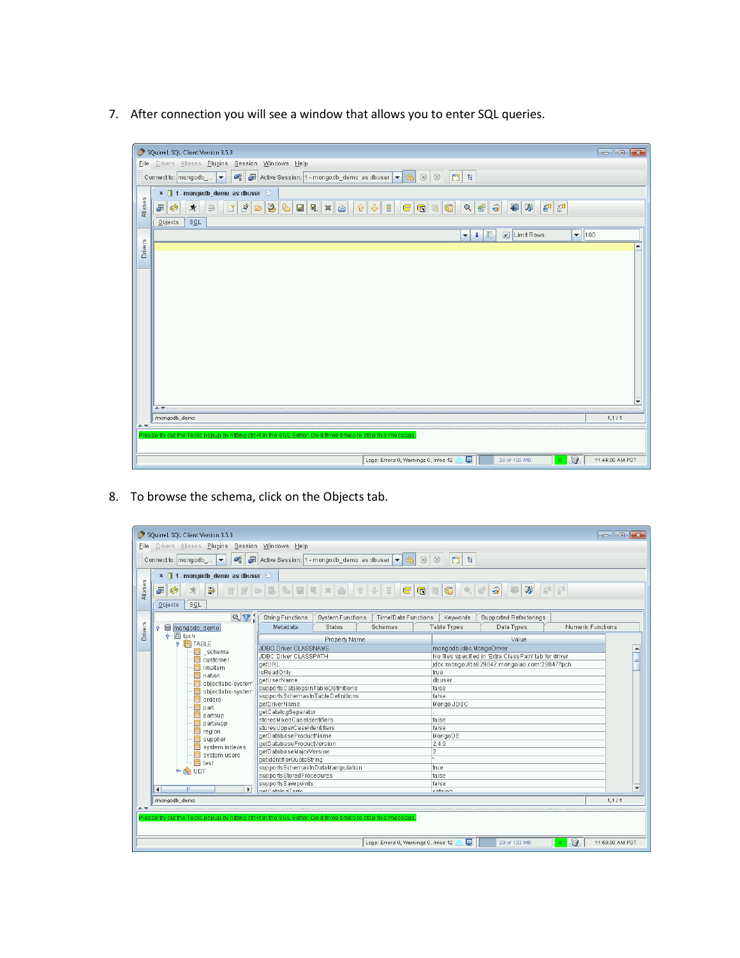7. After connection you will see a window that allows you to enter SQL queries.



8. To browse the schema, click on the Objects tab.

| File    | SQuirreL SQL Client Version 3.5.3<br><u>- Le</u><br>$-x$<br>Drivers Aliases Plugins Session Windows Help                                                  |                                                                                                            |                                                        |                          |  |  |  |  |
|---------|-----------------------------------------------------------------------------------------------------------------------------------------------------------|------------------------------------------------------------------------------------------------------------|--------------------------------------------------------|--------------------------|--|--|--|--|
|         | Active Session: 1 - mongodb_demo as dbuser $\left  \bullet \right $ on<br>$\mathcal{C}_{\alpha}^2$<br>$\circ$ $\circ$<br>□ 日<br>Connect to: mongodb_<br>× |                                                                                                            |                                                        |                          |  |  |  |  |
| Aliases | × 1 - mongodb_demo as dbuser<br>素<br>$\overline{\mathbf{a}}$<br>W<br>$40 - 50$<br>$Q_{\rm c}$<br>曷<br>争<br>﴿﴾<br>SQL<br>Objects                           |                                                                                                            |                                                        |                          |  |  |  |  |
|         | $Q_{\nabla}$                                                                                                                                              | <b>String Functions</b><br>Time/Date Functions<br><b>System Functions</b>                                  | Keywords<br>Supported Refactorings                     |                          |  |  |  |  |
|         | $\leftarrow \blacksquare$ mongodb demo                                                                                                                    | Metadata<br><b>Status</b><br>Schemas                                                                       | Numeric Functions<br>Table Types<br>Data Types         |                          |  |  |  |  |
| Drivers | $\frac{1}{2}$ $\sqrt{3}$ tpch                                                                                                                             | Property Name                                                                                              | Value                                                  |                          |  |  |  |  |
|         | $\div$ $\overline{m}$ TABLE                                                                                                                               | JDBC Driver CLASSNAME                                                                                      | mongodb.idbc.MongoDriver                               |                          |  |  |  |  |
|         | _schema                                                                                                                                                   | JDBC Driver CLASSPATH                                                                                      | No files specified in 'Extra ClassPath' tab for driver |                          |  |  |  |  |
|         | customer<br>lineitem                                                                                                                                      | qetURL                                                                                                     | idbc:mongo://ds029847.mongolab.com:29847/toch          |                          |  |  |  |  |
|         | Ħ<br>nation                                                                                                                                               | isReadOnly                                                                                                 | true                                                   |                          |  |  |  |  |
|         | objectlabs-system                                                                                                                                         | aetUserName                                                                                                | dbuser                                                 |                          |  |  |  |  |
|         | objectlabs-system                                                                                                                                         | supportsCatalogsInTableDefinitions                                                                         | false                                                  |                          |  |  |  |  |
|         | ₩<br>orders                                                                                                                                               | supportsSchemasInTableDefinitions                                                                          | false                                                  |                          |  |  |  |  |
|         | Ħ<br>part                                                                                                                                                 | aetDriverName                                                                                              | Mongo JDBC                                             |                          |  |  |  |  |
|         | partsup                                                                                                                                                   | getCatalogSeparator                                                                                        |                                                        |                          |  |  |  |  |
|         | Ħ<br>partsupp                                                                                                                                             | storesMixedCaseIdentifiers<br>storesUpperCaseIdentifiers                                                   | false<br>false                                         |                          |  |  |  |  |
|         | region                                                                                                                                                    | getDatabaseProductName                                                                                     | MongoDB                                                |                          |  |  |  |  |
|         | supplier                                                                                                                                                  | getDatabaseProductVersion                                                                                  | 2.4.9                                                  |                          |  |  |  |  |
|         | system.indexes                                                                                                                                            | getDatabaseMajorVersion                                                                                    | 2                                                      |                          |  |  |  |  |
|         | ₩<br>system.users                                                                                                                                         | getIdentifierQuoteString                                                                                   |                                                        |                          |  |  |  |  |
|         | $\blacksquare$ test                                                                                                                                       | supportsSchemasInDataManipulation                                                                          | true                                                   |                          |  |  |  |  |
|         | ← <b>&lt;</b> UDT                                                                                                                                         | supportsStoredProcedures                                                                                   | false                                                  |                          |  |  |  |  |
|         |                                                                                                                                                           | supportsSavepoints                                                                                         | false                                                  |                          |  |  |  |  |
|         | ∣∢∣<br>$\mathbf{E}$<br>Ш                                                                                                                                  | matCotalonTorm                                                                                             | cotolog.                                               | $\overline{\phantom{a}}$ |  |  |  |  |
|         | /mongodb_demo                                                                                                                                             |                                                                                                            |                                                        | 1.111                    |  |  |  |  |
|         |                                                                                                                                                           |                                                                                                            |                                                        |                          |  |  |  |  |
|         |                                                                                                                                                           | Please try out the Tools popup by hitting ctrl+t in the SQL Editor. Do it three times to stop this message |                                                        |                          |  |  |  |  |
|         |                                                                                                                                                           | Logs: Errors 0, Warnings 0, Infos 12                                                                       | 圓<br>❤<br>29 of 123 MB                                 | 11:58:08 AM PDT          |  |  |  |  |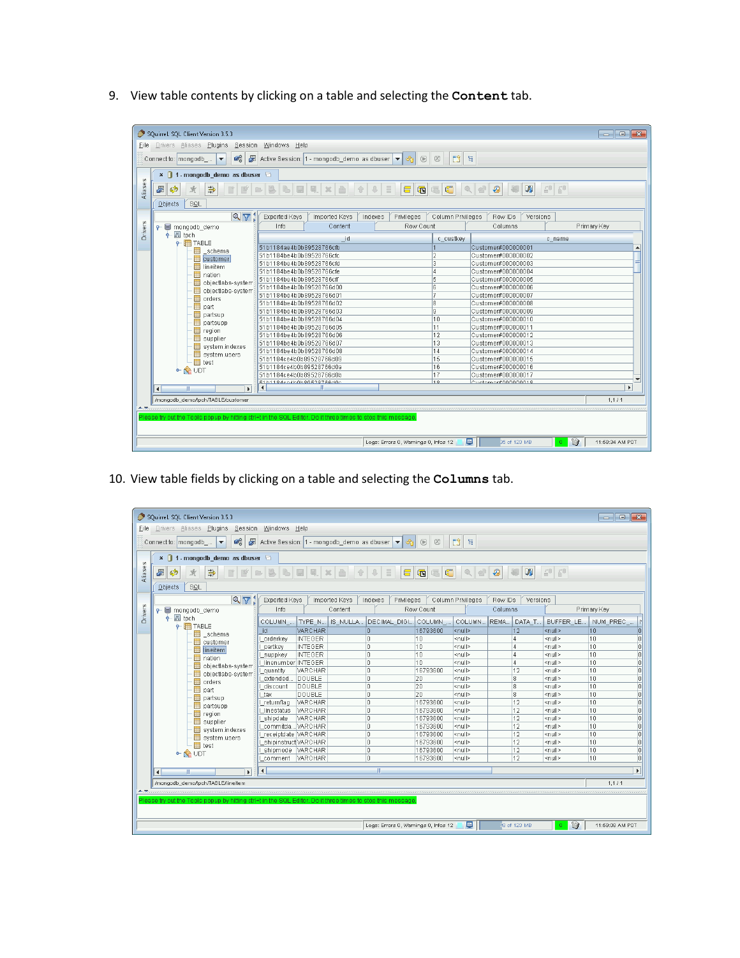9. View table contents by clicking on a table and selecting the **Content** tab.

| File    | SQuirreL SQL Client Version 3.5.3<br>$-x$<br><u>- 19</u><br>Drivers Aliases Plugins Session Windows Help   |                                                    |               |         |                                      |                          |                     |                |                       |  |
|---------|------------------------------------------------------------------------------------------------------------|----------------------------------------------------|---------------|---------|--------------------------------------|--------------------------|---------------------|----------------|-----------------------|--|
|         | $\circ$ $\circ$<br>□ 日<br>Connect to: mongodb<br>$\blacktriangledown$                                      |                                                    |               |         |                                      |                          |                     |                |                       |  |
| Aliases | $x \bigcap$<br>1 - mongodb demo as dbuser<br>$40 - 50$<br>石<br>C<br>久望<br>W<br>園<br>Ø<br>争                 |                                                    |               |         |                                      |                          |                     |                |                       |  |
|         | SQL<br>Objects                                                                                             |                                                    |               |         |                                      |                          |                     |                |                       |  |
|         | $\mathbb{Q} \nabla_k$                                                                                      | Exported Keys                                      | Imported Keys | Indexes | Privileges                           | Column Privileges        | Row IDs<br>Versions |                |                       |  |
| Drivers | $\leftarrow \blacksquare$ mongodb demo                                                                     | Info                                               | Content       |         | Row Count                            |                          | Columns             |                | Primary Key           |  |
|         | $\div$ $\mathbb{E}$ tpch                                                                                   |                                                    | id            |         |                                      | c custkey                |                     | c name         |                       |  |
|         | $\leftarrow$ TABLE                                                                                         | 51b1184ae4b0b89528766cfb                           |               |         |                                      |                          | Customer#000000001  |                |                       |  |
|         | ₩<br>schema                                                                                                | 51b1184be4b0b89528766cfc                           |               |         |                                      | 12                       | Customer#000000002  |                |                       |  |
|         | customer<br>₩<br>lineitem                                                                                  | 51b1184be4b0b89528766cfd                           |               |         |                                      | 3                        | Customer#000000003  |                |                       |  |
|         | ₩<br>nation                                                                                                | 51b1184be4b0b89528766cfe                           |               |         |                                      | l4                       | Customer#000000004  |                |                       |  |
|         | objectlabs-system                                                                                          | 51b1184be4b0b89528766cff                           |               |         | 5                                    | Customer#000000005       |                     |                |                       |  |
|         | objectlabs-system                                                                                          | 51b1184be4b0b89528766d00                           |               |         | 16                                   | Customer#000000006       |                     |                |                       |  |
|         | ₩<br>orders                                                                                                | 51b1184be4b0b89528766d01                           |               |         |                                      | E                        | Customer#000000007  |                |                       |  |
|         | ₩<br>part                                                                                                  | 51b1184be4b0b89528766d02                           |               |         |                                      | 18<br>Customer#000000008 |                     |                |                       |  |
|         | ₩<br>partsup                                                                                               | 51b1184be4b0b89528766d03                           |               |         |                                      | g                        | Customer#000000009  |                |                       |  |
|         | partsupp                                                                                                   | 51b1184be4b0b89528766d04                           |               |         |                                      | 10                       | Customer#000000010  |                |                       |  |
|         | ₩<br>region                                                                                                | 51b1184be4b0b89528766d05                           |               |         |                                      | 11                       | Customer#000000011  |                |                       |  |
|         | Ħ<br>supplier                                                                                              | 51b1184be4b0b89528766d06                           |               |         |                                      | 12                       | Customer#000000012  |                |                       |  |
|         | system.indexes                                                                                             | 51b1184be4b0b89528766d07                           |               |         |                                      | 13                       | Customer#000000013  |                |                       |  |
|         | Ħ<br>system.users                                                                                          | 51b1184be4b0b89528766d08                           |               |         |                                      | 14                       | Customer#000000014  |                |                       |  |
|         | $\blacksquare$ test                                                                                        | 51b1184ce4b0b89528766d09                           |               |         |                                      | 15                       | Customer#000000015  |                |                       |  |
|         | $\sim$ $\otimes$ UDT                                                                                       | 51b1184ce4b0b89528766d0a                           |               |         |                                      | 16                       | Customer#000000016  |                |                       |  |
|         |                                                                                                            | 51b1184ce4b0b89528766d0b                           |               |         |                                      | 17                       | Customer#000000017  |                |                       |  |
|         |                                                                                                            | E1b1101co4b0b00E207RRd0c<br>$\left  \cdot \right $ |               |         |                                      | 10                       | Cuctomor#000000010  |                | $\blacktriangleright$ |  |
|         | $\overline{\phantom{a}}$<br>$\mathbb{I}$<br>$\blacktriangleright$                                          |                                                    |               |         |                                      |                          |                     |                |                       |  |
|         | /mongodb_demo/tpch/TABLE/customer                                                                          |                                                    |               |         |                                      |                          |                     |                | 1,1/1                 |  |
|         |                                                                                                            |                                                    |               |         |                                      |                          |                     |                |                       |  |
|         | Please try out the Tools popup by hitting ctrl+t in the SQL Editor. Do it three times to stop this message |                                                    |               |         |                                      |                          |                     |                |                       |  |
|         |                                                                                                            |                                                    |               |         | Logs: Errors 0, Warnings 0, Infos 12 |                          | 目<br>35 of 123 MB   | ❤<br>$\bullet$ | 11:58:34 AM PDT       |  |

10. View table fields by clicking on a table and selecting the **Columns** tab.

| File           | SQuirreL SQL Client Version 3.5.3<br>$\begin{array}{c c c c c} \hline \multicolumn{1}{c }{\mathbf{.}} & \multicolumn{1}{c }{\mathbf{.}} & \multicolumn{1}{c }{\mathbf{.}} \end{array}$<br>Drivers Aliases Plugins Session Windows Help |                            |               |                                      |           |                   |         |                 |               |                 |                       |
|----------------|----------------------------------------------------------------------------------------------------------------------------------------------------------------------------------------------------------------------------------------|----------------------------|---------------|--------------------------------------|-----------|-------------------|---------|-----------------|---------------|-----------------|-----------------------|
|                | $\mathcal{C}_n$<br>慶<br>Active Session: 1 - mongodb_demo as dbuser $\blacktriangledown$ $\theta$<br>$\circ$ $\circ$<br>□ 日<br>Connect to:   mongodb<br>$\blacktriangledown$                                                            |                            |               |                                      |           |                   |         |                 |               |                 |                       |
| Aliases        | <b>x</b> 1 - mongodb_demo as dbuser <b>□</b><br>FFFFFFFXAIL<br>W<br>60 60 <br>$Q_1$<br>⊛<br>争<br>T<br>đ<br>Ø<br>SQL<br>Objects                                                                                                         |                            |               |                                      |           |                   |         |                 |               |                 |                       |
|                | $\sqrt{7}$                                                                                                                                                                                                                             | Exported Keys              | Imported Keys | Indexes<br>Privileges                |           | Column Privileges | Row IDs | Versions        |               |                 |                       |
| <b>Drivers</b> | $\leftarrow \equiv$ mongodb_demo                                                                                                                                                                                                       | Info                       | Content       |                                      | Row Count |                   | Columns |                 |               | Primary Key     |                       |
|                | $\frac{1}{2}$ as tpch<br>$\div$ $\mathbf{F}$ TABLE                                                                                                                                                                                     | TYPE_N<br><b>COLUMN</b>    |               | IS_NULLA DECIMAL_DIGI COLUMN_        |           | COLUMN            | REMA    | DATA_T          | BUFFER_LE.    | NUM_PREC_       |                       |
|                | schema<br>Ħ                                                                                                                                                                                                                            | VARCHAR<br>id              |               | In.                                  | 16793600  | l <null></null>   |         | 12              | <null></null> | 10              | r                     |
|                | customer                                                                                                                                                                                                                               | <b>INTEGER</b><br>orderkey |               | 10.                                  | 10        | <null></null>     |         | 4               | <null></null> | 10              | n                     |
|                | lineitem                                                                                                                                                                                                                               | <b>INTEGER</b><br>partkey  |               | lo                                   | 10        | <null></null>     |         |                 | <null></null> | 10              | o                     |
|                | nation                                                                                                                                                                                                                                 | <b>INTEGER</b><br>suppkey  |               | lo.                                  | 10        | <null></null>     |         | 4               | <null></null> | $\overline{10}$ | o                     |
|                | objectlabs-system                                                                                                                                                                                                                      | linenumber INTEGER         |               | lo                                   | 10        | <null></null>     |         |                 | <null></null> | 10              | $\overline{0}$        |
|                | objectlabs-system                                                                                                                                                                                                                      | VARCHAR<br>quantity        |               | In                                   | 16793600  | <null></null>     |         | 12              | <null></null> | 10              | o                     |
|                | orders                                                                                                                                                                                                                                 | DOUBLE<br>extended.        |               | lo                                   | 20        | <null></null>     |         | l8              | <null></null> | 10              | $\overline{0}$        |
|                | part                                                                                                                                                                                                                                   | DOUBLE<br>discount         |               | lo.                                  | 20        | <null></null>     |         | l8              | <null></null> | 10              | ō                     |
|                | partsup                                                                                                                                                                                                                                | DOUBLE<br>tax              |               | lo.                                  | 20        | <null></null>     |         | ls.             | <null></null> | 10              | ō                     |
|                | partsupp                                                                                                                                                                                                                               | VARCHAR<br>_returnflag     |               | lo.                                  | 16793600  | <null></null>     |         | 12              | <null></null> | 10              | ō                     |
|                | region                                                                                                                                                                                                                                 | VARCHAR<br>linestatus      |               | I٥                                   | 16793600  | <null></null>     |         | $\overline{12}$ | <null></null> | 10              | ō                     |
|                | supplier                                                                                                                                                                                                                               | VARCHAR<br>shipdate        |               | I٥                                   | 16793600  | l <null></null>   |         | 12              | <null></null> | 10              | o                     |
|                | system.indexes                                                                                                                                                                                                                         | commitdaVARCHAR            |               | In                                   | 16793600  | <null></null>     |         | $\overline{12}$ | <null></null> | 10              | ō                     |
|                | system.users                                                                                                                                                                                                                           | _receiptdate VARCHAR       |               | lo.                                  | 16793600  | <null></null>     |         | 12              | <null></null> | 10              | ō                     |
|                | $\blacksquare$ test                                                                                                                                                                                                                    | shipinstruct VARCHAR       |               | lo                                   | 16793600  | <null></null>     |         | 12              | <null></null> | 10              | o                     |
|                | <b>N</b> UDT                                                                                                                                                                                                                           | <b>VARCHAR</b><br>shipmode |               | 10                                   | 16793600  | <null></null>     |         | 12              | <null></null> | 10              | o                     |
|                |                                                                                                                                                                                                                                        | VARCHAR<br>comment         |               | lo.                                  | 16793600  | $\leq$ null>      |         | $\overline{12}$ | <null></null> | 10              | Ir                    |
|                | $\left  \right $<br>$\mathbf{r}$                                                                                                                                                                                                       | $\left  \right $           |               | m                                    |           |                   |         |                 |               |                 | $\blacktriangleright$ |
|                | /mongodb_demo/tpch/TABLE/lineitem                                                                                                                                                                                                      |                            |               |                                      |           |                   |         |                 |               | 1, 1 / 1        |                       |
|                |                                                                                                                                                                                                                                        |                            |               |                                      |           |                   |         |                 |               |                 |                       |
|                | Please try out the Tools popup by hitting ctrl+t in the SQL Editor. Do it three times to stop this message                                                                                                                             |                            |               |                                      |           |                   |         |                 |               |                 |                       |
|                |                                                                                                                                                                                                                                        |                            |               | Logs: Errors 0, Warnings 0, Infos 12 |           | 鳳                 |         | \$8 of 123 MB   | 0<br>$\circ$  | 11:59:08 AM PDT |                       |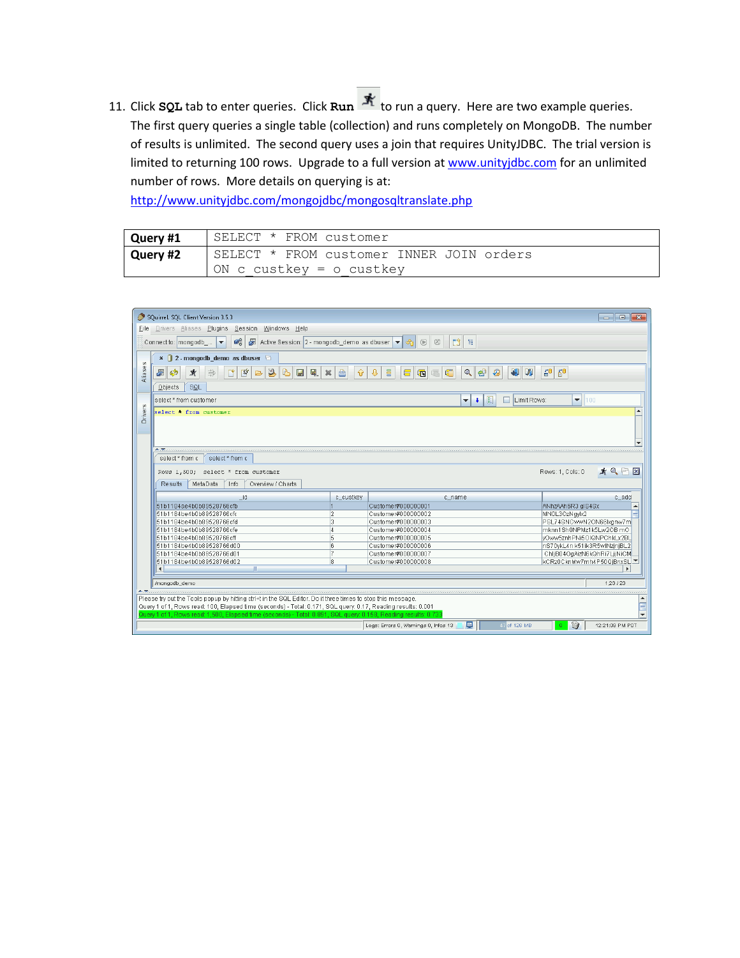11. Click **SQL** tab to enter queries. Click **Run A** to run a query. Here are two example queries. The first query queries a single table (collection) and runs completely on MongoDB. The number of results is unlimited. The second query uses a join that requires UnityJDBC. The trial version is limited to returning 100 rows. Upgrade to a full version a[t www.unityjdbc.com](http://www.unityjdbc.com/) for an unlimited number of rows. More details on querying is at:

<http://www.unityjdbc.com/mongojdbc/mongosqltranslate.php>

| Query #1 | SELECT * FROM customer                   |
|----------|------------------------------------------|
| Query #2 | SELECT * FROM customer INNER JOIN orders |
|          | ON c custkey = $\circ$ custkey           |

|                | SQuirreL SQL Client Version 3.5.3<br>$-x$<br>l o<br>$\blacksquare$                                                                                                                                                         |                |                                                       |                                                          |  |  |  |  |
|----------------|----------------------------------------------------------------------------------------------------------------------------------------------------------------------------------------------------------------------------|----------------|-------------------------------------------------------|----------------------------------------------------------|--|--|--|--|
| File           | Drivers Aliases Plugins Session Windows Help                                                                                                                                                                               |                |                                                       |                                                          |  |  |  |  |
|                | □ 日<br>$\otimes$<br>Connect to:   mongodb_<br>$\vert \mathbf{v} \vert$<br>$^{\circledR}$                                                                                                                                   |                |                                                       |                                                          |  |  |  |  |
|                | $\times$   2 - mongodb demo as dbuser                                                                                                                                                                                      |                |                                                       |                                                          |  |  |  |  |
| Aliases        | $\mathbf{f}^0$<br>$\mathbf{H}^0$<br>$\mathcal{P}$<br>F<br>暋<br>ħ<br>⊕<br>冒<br>ď<br>섑<br>₩<br>W<br>$\blacksquare$<br>鳳.<br>$\mathbf{\Omega}$<br>石<br>丼<br>尝<br>⇧<br>G<br>Ø<br>箕<br>A<br>li <sub>3</sub><br>$\triangleright$ |                |                                                       |                                                          |  |  |  |  |
|                | SQL<br>Objects                                                                                                                                                                                                             |                |                                                       |                                                          |  |  |  |  |
|                | select * from customer                                                                                                                                                                                                     |                | E<br>$\overline{\phantom{a}}$<br>$\ddot{\phantom{1}}$ | $\blacktriangledown$<br>Limit Rows:<br>100               |  |  |  |  |
| <b>Drivers</b> | select * from customer                                                                                                                                                                                                     |                |                                                       |                                                          |  |  |  |  |
|                |                                                                                                                                                                                                                            |                |                                                       |                                                          |  |  |  |  |
|                |                                                                                                                                                                                                                            |                |                                                       |                                                          |  |  |  |  |
|                |                                                                                                                                                                                                                            |                |                                                       |                                                          |  |  |  |  |
|                | <u>A Transmission de componentamento de componentamento </u>                                                                                                                                                               |                |                                                       |                                                          |  |  |  |  |
|                | select * from c<br>select * from c                                                                                                                                                                                         |                |                                                       |                                                          |  |  |  |  |
|                | Rows 1,500; select * from customer                                                                                                                                                                                         |                |                                                       | 大只行区<br>Rows: 1, Cols: 0                                 |  |  |  |  |
|                |                                                                                                                                                                                                                            |                |                                                       |                                                          |  |  |  |  |
|                |                                                                                                                                                                                                                            |                |                                                       |                                                          |  |  |  |  |
|                | MetaData<br>Info<br>Overview / Charts<br>Results                                                                                                                                                                           |                |                                                       |                                                          |  |  |  |  |
|                | id                                                                                                                                                                                                                         | c_custkey      | c_name                                                | c add                                                    |  |  |  |  |
|                | 51b1184ae4b0b89528766cfb                                                                                                                                                                                                   |                | Customer#000000001                                    | ANhzAAh6R3 alS4Sx                                        |  |  |  |  |
|                | 51b1184be4b0b89528766cfc                                                                                                                                                                                                   | 12             | Customer#000000002                                    | MN0L3OzNqylx2                                            |  |  |  |  |
|                | 51b1184be4b0b89528766cfd                                                                                                                                                                                                   | l3             | Customer#000000003                                    | PSL74SNCwwN2ON66lxgnw7m                                  |  |  |  |  |
|                | 51b1184be4b0b89528766cfe                                                                                                                                                                                                   | 14             | Customer#000000004                                    | mknn1Sh0NPMz1k5Lw2OB mO                                  |  |  |  |  |
|                | 51b1184be4b0b89528766cff                                                                                                                                                                                                   | 5              | Customer#000000005                                    | vOww5znhPNi5OIQNPChkLx2BL                                |  |  |  |  |
|                | 51b1184be4b0b89528766d00                                                                                                                                                                                                   | <sup>6</sup>   | Customer#000000006                                    | nS70ykL4n k51ik3R5wlNzjnjBL2                             |  |  |  |  |
|                | 51b1184be4b0b89528766d01                                                                                                                                                                                                   | $\overline{7}$ | Customer#000000007                                    | ChljB04OgAizN6kQhRi7LjjNiCM                              |  |  |  |  |
|                | 51b1184be4b0b89528766d02                                                                                                                                                                                                   | 18             | Customer#000000008                                    | kCRz0CknMw7mh4P50QjBnxSL                                 |  |  |  |  |
|                | $\mathbb{R}$<br>$\blacktriangleleft$                                                                                                                                                                                       |                |                                                       |                                                          |  |  |  |  |
|                |                                                                                                                                                                                                                            |                |                                                       |                                                          |  |  |  |  |
|                | /mongodb_demo                                                                                                                                                                                                              |                |                                                       | 1,23 / 23                                                |  |  |  |  |
|                |                                                                                                                                                                                                                            |                |                                                       |                                                          |  |  |  |  |
|                | Please try out the Tools popup by hitting ctrl+t in the SQL Editor. Do it three times to stop this message.                                                                                                                |                |                                                       |                                                          |  |  |  |  |
|                | Query 1 of 1, Rows read: 100, Elapsed time (seconds) - Total: 0.171, SQL query: 0.17, Reading results: 0.001                                                                                                               |                |                                                       |                                                          |  |  |  |  |
|                | Query 1 of 1, Rows read: 1,500, Elapsed time (seconds) - Total: 0.891, SQL query: 0.158, Reading results: 0.733                                                                                                            |                | 圓<br>Logs: Errors 0, Warnings 0, Infos 13             | $\bullet$<br>47 of 126 MB<br>$\alpha$<br>12:21:09 PM PDT |  |  |  |  |